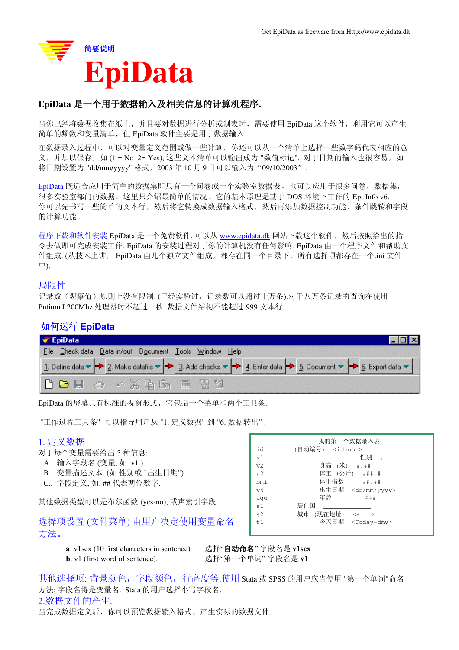

## EpiData 是一个用于数据输入及相关信息的计算机程序.

当你已经将数据收集在纸上,并且要对数据进行分析或制表时,需要使用 EpiData 这个软件,利用它可以产生 简单的频数和变量清单,但 EpiData 软件主要是用于数据输入.

在数据录入过程中,可以对变量定义范围或做一些计算。你还可以从一个清单上选择一些数字码代表相应的意 义,并加以保存,如(1=No 2= Yes), 这些文本清单可以输出成为 "数值标记". 对于日期的输入也很容易, 如 将日期设置为 "dd/mm/vyyy" 格式, 2003年10月9日可以输入为 "09/10/2003".

EpiData 既适合应用于简单的数据集即只有一个问卷或一个实验室数据表, 也可以应用于很多问卷, 数据集, 很多实验室部门的数据。这里只介绍最简单的情况。它的基本原理是基于 DOS 环境下工作的 Epi Info v6. 你可以先书写一些简单的文本行,然后将它转换成数据输入格式,然后再添加数据控制功能,条件跳转和字段 的计算功能。

程序下载和软件安装 EpiData 是一个免费软件. 可以从 www.epidata.dk 网站下载这个软件, 然后按照给出的指 令去做即可完成安装工作. EpiData 的安装过程对于你的计算机没有任何影响. EpiData 由一个程序文件和帮助文 件组成. (从技术上讲, EpiData 由几个独立文件组成, 都存在同一个目录下, 所有选择项都存在一个.ini 文件 Ё).

### 局限性

记录数(观察值)原则上没有限制.(已经实验过,记录数可以超过十万条).对于八万条记录的查询在使用 Pntium I 200Mhz 处理器时不超过 1 秒. 数据文件结构不能超过 999 文本行.

### བԩ䖤㸠 **EpiData**

| $\equiv$ EpiData                                                                                                                                                                                                                                                                                                                                                                                                         |                                                                                                                                                                                                                              |  |
|--------------------------------------------------------------------------------------------------------------------------------------------------------------------------------------------------------------------------------------------------------------------------------------------------------------------------------------------------------------------------------------------------------------------------|------------------------------------------------------------------------------------------------------------------------------------------------------------------------------------------------------------------------------|--|
| File Check data Data in/out Document Tools Window Help                                                                                                                                                                                                                                                                                                                                                                   |                                                                                                                                                                                                                              |  |
|                                                                                                                                                                                                                                                                                                                                                                                                                          | 1. Define data $\blacktriangleright$ 2. Make datafile $\blacktriangleright$ 3. Add checks $\blacktriangleright$ 4. Enter data $\blacktriangleright$ 5. Document $\blacktriangleright$ 6. Export data $\blacktriangleright$ 1 |  |
| $\begin{array}{ c c c c c }\hline \mathbf{b} & \mathbf{c} & \mathbf{d} & \mathbf{c} & \mathbf{d} & \mathbf{d} & \mathbf{d} & \mathbf{d} & \mathbf{d} & \mathbf{d} & \mathbf{d} & \mathbf{d} & \mathbf{d} & \mathbf{d} & \mathbf{d} & \mathbf{d} & \mathbf{d} & \mathbf{d} & \mathbf{d} & \mathbf{d} & \mathbf{d} & \mathbf{d} & \mathbf{d} & \mathbf{d} & \mathbf{d} & \mathbf{d} & \mathbf{d} & \mathbf{d} & \mathbf{d$ |                                                                                                                                                                                                                              |  |

EpiData 的屏幕具有标准的视窗形式, 它包括一个菜单和两个工具条.

"工作过程工具条"可以指导用户从 "1. 定义数据" 到 "6. 数据转出".

### 1. 定义数据

对于每个变量需要给出3种信息:

- A.. 输入字段名 (变量, 如. v1).
- B.. 变量描述文本. (如 性别或 "出生日期")
- C.. 字段定义. 如. ## 代表两位数字.

其他数据类型可以是布尔函数 (yes-no), 或声索引字段.

洗择项设置(文件菜单) 由用户决定使用变量命名 方法。

|                | 我的第一个数据录入表                                   |
|----------------|----------------------------------------------|
| id             | (自动编号) <idnum></idnum>                       |
| V1             | 性别<br>- #                                    |
| V <sub>2</sub> | 身高 (米) #.##                                  |
| v <sub>3</sub> | 体重 (公斤) ###.#                                |
| bmi            | 体重指数 ##.##                                   |
| V <sub>4</sub> | 出生日期 <dd mm="" yyyy=""></dd>                 |
| age            | 年龄<br># ##                                   |
| s <sub>1</sub> | 居住国                                          |
| s2             | 城市<br>(现在地址)<br>$\langle a$<br>$\rightarrow$ |
| t.1            | 今天日期<br>$<$ Today-dmy>                       |
|                |                                              |

**a**. v1sex (10 first characters in sentence) 选择"自动命名"字段名是 v1sex **b**. v1 (first word of sentence). <br> 选择"第一个单词" 字段名是 v1

其他选择项: 背景颜色, 字段颜色, 行高度等.使用 Stata 或 SPSS 的用户应当使用 "第一个单词"命名 方法; 字段名将是变量名. Stata 的用户选择小写字段名. 2.数据文件的产生. 当完成数据定义后, 你可以预览数据输入格式, 产生实际的数据文件.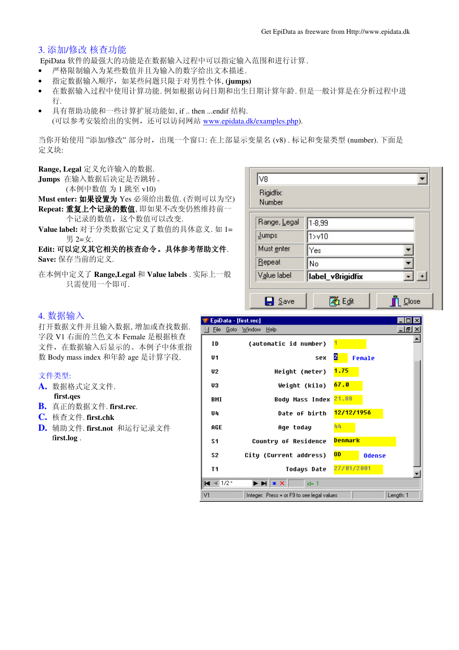## 3. 添加/修改 核查功能

EpiData 软件的最强大的功能是在数据输入过程中可以指定输入范围和进行计算.

- 严格限制输入为某些数值并且为输入的数字给出文本描述.
- 指定数据输入顺序, 如某些问题只限于对男性个体, (jumps)
- 在数据输入过程中使用计算功能. 例如根据访问日期和出生日期计算年龄. 但是一般计算是在分析过程中进 行.
- 具有帮助功能和一些计算扩展功能如, if .. then ...endif 结构. (可以参考安装给出的实例,还可以访问网站 www.epidata.dk/examples.php).

当你开始使用 "添加/修改" 部分时, 出现一个窗口: 在上部显示变量名 (v8). 标记和变量类型 (number). 下面是 定义块:

**Range, Legal** 定义允许输入的数据.

- Jumps 在输入数据后决定是否跳转。
	- (本例中数值 为 1 跳至 v10)

Must enter: 如果设置为 Yes 必须给出数值. (否则可以为空) Repeat: 重复上个记录的数值, 即如果不改变仍然维持前一

个记录的数值, 这个数值可以改变.

Value label: 对于分类数据它定义了数值的具体意义. 如 1= 男 2=女.

### Edit: 可以定义其它相关的核查命令。具体参考帮助文件. Save: 保存当前的定义.

在本例中定义了 Range,Legal 和 Value labels . 实际上一般 只需使用一个即可.

| Rigidfix:<br>Number |                  |     |
|---------------------|------------------|-----|
| Range, Legal        | 1-8,99           |     |
| Jumps               | 1 > 10           |     |
| Must enter          | Yes              |     |
| Repeat              | No               |     |
| Value label         | Iabel_v8rigidfix | $+$ |

## 4. 数据输入

打开数据文件并且输入数据, 增加或查找数据. 字段 V1 右面的兰色文本 Female 是根据核查 文件, 在数据输入后显示的。本例子中体重指 数 Body mass index 和年龄 age 是计算字段.

#### 文件类型:

- A. 数据格式定义文件. **first.qes**
- **B.** 真正的数据文件. first.rec.
- **C.** Ḍᶹ᭛ӊ. **first.chk**
- **D.** 辅助文件. first.not 和运行记录文件 f**irst.log** .

| EpiData - [first.rec] |                                                                                                                           |                                 | $\mathsf{x}$            |
|-----------------------|---------------------------------------------------------------------------------------------------------------------------|---------------------------------|-------------------------|
| Eile                  | <u>Goto W</u> indow<br>Heip                                                                                               |                                 | $  \mathbb{F}$ $\times$ |
| ID                    | (automatic id number)                                                                                                     |                                 |                         |
| U1                    | <b>SPX</b>                                                                                                                | 2<br>Female                     |                         |
| U <sub>2</sub>        | Height (meter)                                                                                                            | 1.75                            |                         |
| U3                    | Weight (kilo)                                                                                                             | 67.0                            |                         |
| BMI                   | Body Mass Index                                                                                                           | 21.88                           |                         |
| U4                    | Date of birth                                                                                                             | 12/12/1956                      |                         |
| AGE                   | Age today                                                                                                                 | 44                              |                         |
| S1                    | Country of Residence                                                                                                      | Denmark                         |                         |
| S <sub>2</sub>        | City (Current address)                                                                                                    | 0 <sub>D</sub><br><b>Odense</b> |                         |
| T1                    | Todays Date                                                                                                               | 27/01/2001                      |                         |
| $M \approx 1/2$       | $\blacktriangleright$ $\blacktriangleright$ $\blacktriangleright$ $\blacktriangleright$ $\blacktriangleright$<br>$id = 1$ |                                 |                         |
| V1                    | Integer: Press + or F9 to see legal values                                                                                |                                 | Length: 1               |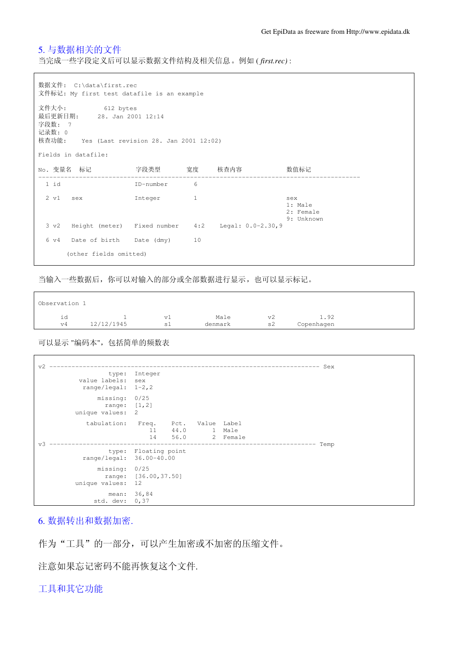## 5. 与数据相关的文件

当完成一些字段定义后可以显示数据文件结构及相关信息。例如(first.rec):

|                                                                                                                      | 数据文件: C:\data\first.rec<br>文件标记: My first test datafile is an example |           |              |                                                        |                                           |  |  |
|----------------------------------------------------------------------------------------------------------------------|-----------------------------------------------------------------------|-----------|--------------|--------------------------------------------------------|-------------------------------------------|--|--|
| 文件大小: 612 bytes<br>最后更新日期:<br>28. Jan 2001 12:14<br>字段数: 7<br>记录数: 0<br>核查功能: Yes (Last revision 28. Jan 2001 12:02) |                                                                       |           |              |                                                        |                                           |  |  |
|                                                                                                                      | Fields in datafile:                                                   |           |              |                                                        |                                           |  |  |
|                                                                                                                      | No. 变量名  标记                                                           |           |              | 字段类型     宽度    核查内容                                    | 数值标记                                      |  |  |
| 1 id                                                                                                                 |                                                                       | ID-number | 6            |                                                        |                                           |  |  |
|                                                                                                                      | 2 v1 sex Integer                                                      |           | $\mathbf{1}$ |                                                        | sex<br>1: Male<br>2: Female<br>9: Unknown |  |  |
|                                                                                                                      |                                                                       |           |              | 3 v2 Height (meter) Fixed number 4:2 Legal: 0.0-2.30,9 |                                           |  |  |
|                                                                                                                      | 6 v4 Date of birth Date (dmy) 10                                      |           |              |                                                        |                                           |  |  |
|                                                                                                                      | (other fields omitted)                                                |           |              |                                                        |                                           |  |  |

当输入一些数据后, 你可以对输入的部分或全部数据进行显示, 也可以显示标记。

| Observation 1 |            |                   |         |    |            |  |
|---------------|------------|-------------------|---------|----|------------|--|
| ıd            |            | vl                | Male    | v2 | 1.92       |  |
| v4            | 12/12/1945 | $\epsilon$<br>∸ ب | denmark | s2 | Copenhagen |  |

可以显示"编码本",包括简单的频数表

 $\Gamma$ 

| v2                                     |                                    |              |                       |          | --------   | Sex  |
|----------------------------------------|------------------------------------|--------------|-----------------------|----------|------------|------|
| value labels:<br>range/legal: $1-2, 2$ | type: Integer<br>sex               |              |                       |          |            |      |
| missing:<br>range:<br>unique values:   | 0/25<br>[1, 2]<br>-2               |              |                       |          |            |      |
| tabulation:                            | Freq. Pct.<br>11<br>14             | 44.0<br>56.0 | Value Label<br>1 Male | 2 Female |            |      |
| 37 R<br>range/legal: 36.00-40.00       | type: Floating point               |              | -----------------     |          | ---------- | Temp |
| missing:<br>unique values:             | 0/25<br>range: [36.00,37.50]<br>12 |              |                       |          |            |      |
| mean:<br>std. dev:                     | 36,84<br>0, 37                     |              |                       |          |            |      |

6. 数据转出和数据加密.

作为"工具"的一部分,可以产生加密或不加密的压缩文件。

注意如果忘记密码不能再恢复这个文件.

工具和其它功能